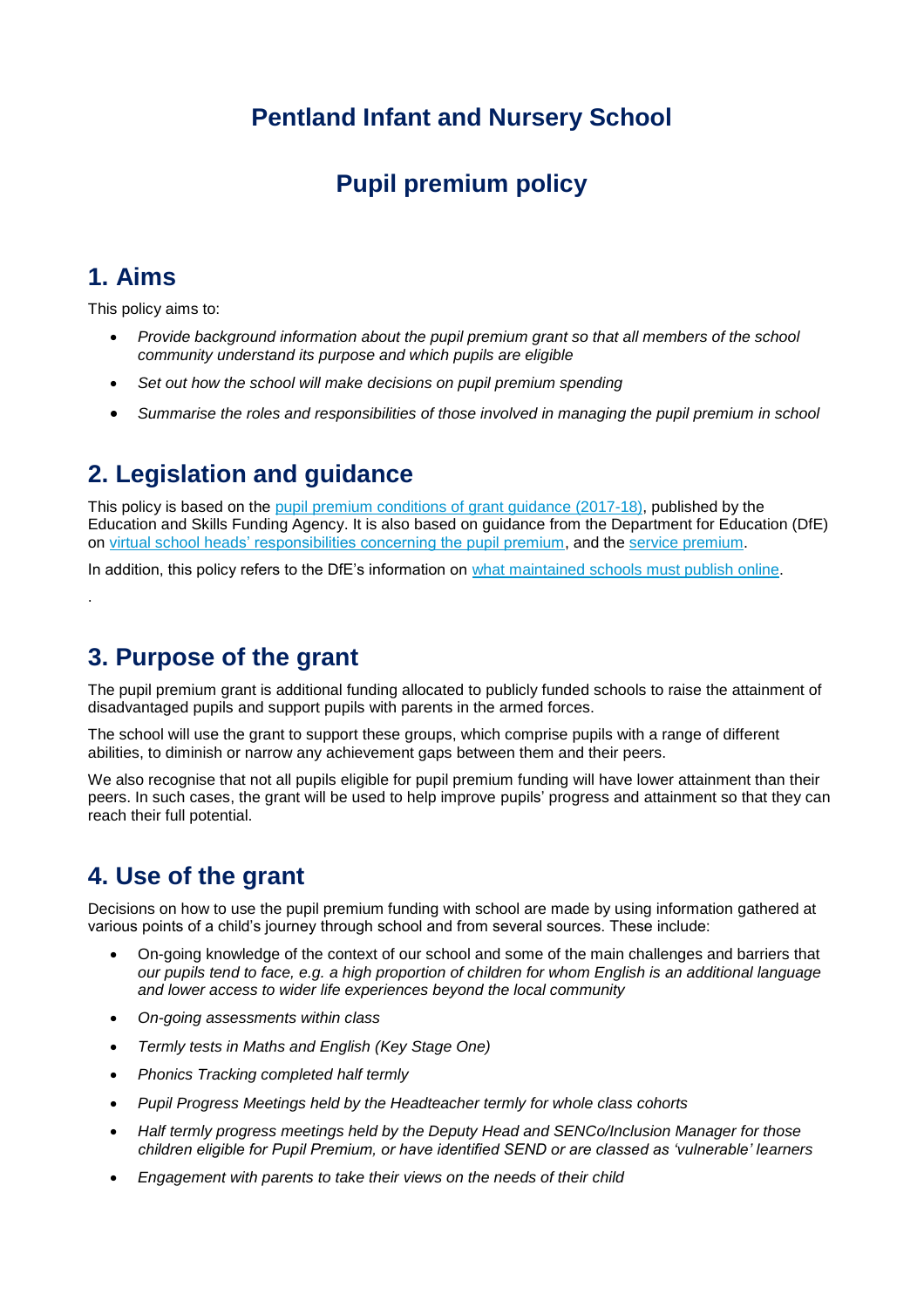# **Pentland Infant and Nursery School**

# **Pupil premium policy**

## **1. Aims**

.

This policy aims to:

- *Provide background information about the pupil premium grant so that all members of the school community understand its purpose and which pupils are eligible*
- *Set out how the school will make decisions on pupil premium spending*
- *Summarise the roles and responsibilities of those involved in managing the pupil premium in school*

## **2. Legislation and guidance**

This policy is based on the [pupil premium conditions of grant guidance \(2017-18\),](https://www.gov.uk/government/publications/pupil-premium-conditions-of-grant-2017-to-2018/pupil-premium-conditions-of-grant-2017-to-2018) published by the Education and Skills Funding Agency. It is also based on guidance from the Department for Education (DfE) on [virtual school heads' responsibilities concerning the pupil premium,](https://www.gov.uk/guidance/pupil-premium-virtual-school-heads-responsibilities) and the [service premium.](https://www.gov.uk/guidance/service-premium-information-for-schools)

In addition, this policy refers to the DfE's information on [what maintained schools must publish online.](https://www.gov.uk/guidance/what-maintained-schools-must-publish-online#pupil-premium)

## **3. Purpose of the grant**

The pupil premium grant is additional funding allocated to publicly funded schools to raise the attainment of disadvantaged pupils and support pupils with parents in the armed forces.

The school will use the grant to support these groups, which comprise pupils with a range of different abilities, to diminish or narrow any achievement gaps between them and their peers.

We also recognise that not all pupils eligible for pupil premium funding will have lower attainment than their peers. In such cases, the grant will be used to help improve pupils' progress and attainment so that they can reach their full potential.

# **4. Use of the grant**

Decisions on how to use the pupil premium funding with school are made by using information gathered at various points of a child's journey through school and from several sources. These include:

- On-going knowledge of the context of our school and some of the main challenges and barriers that *our pupils tend to face, e.g. a high proportion of children for whom English is an additional language and lower access to wider life experiences beyond the local community*
- *On-going assessments within class*
- *Termly tests in Maths and English (Key Stage One)*
- *Phonics Tracking completed half termly*
- *Pupil Progress Meetings held by the Headteacher termly for whole class cohorts*
- *Half termly progress meetings held by the Deputy Head and SENCo/Inclusion Manager for those children eligible for Pupil Premium, or have identified SEND or are classed as 'vulnerable' learners*
- *Engagement with parents to take their views on the needs of their child*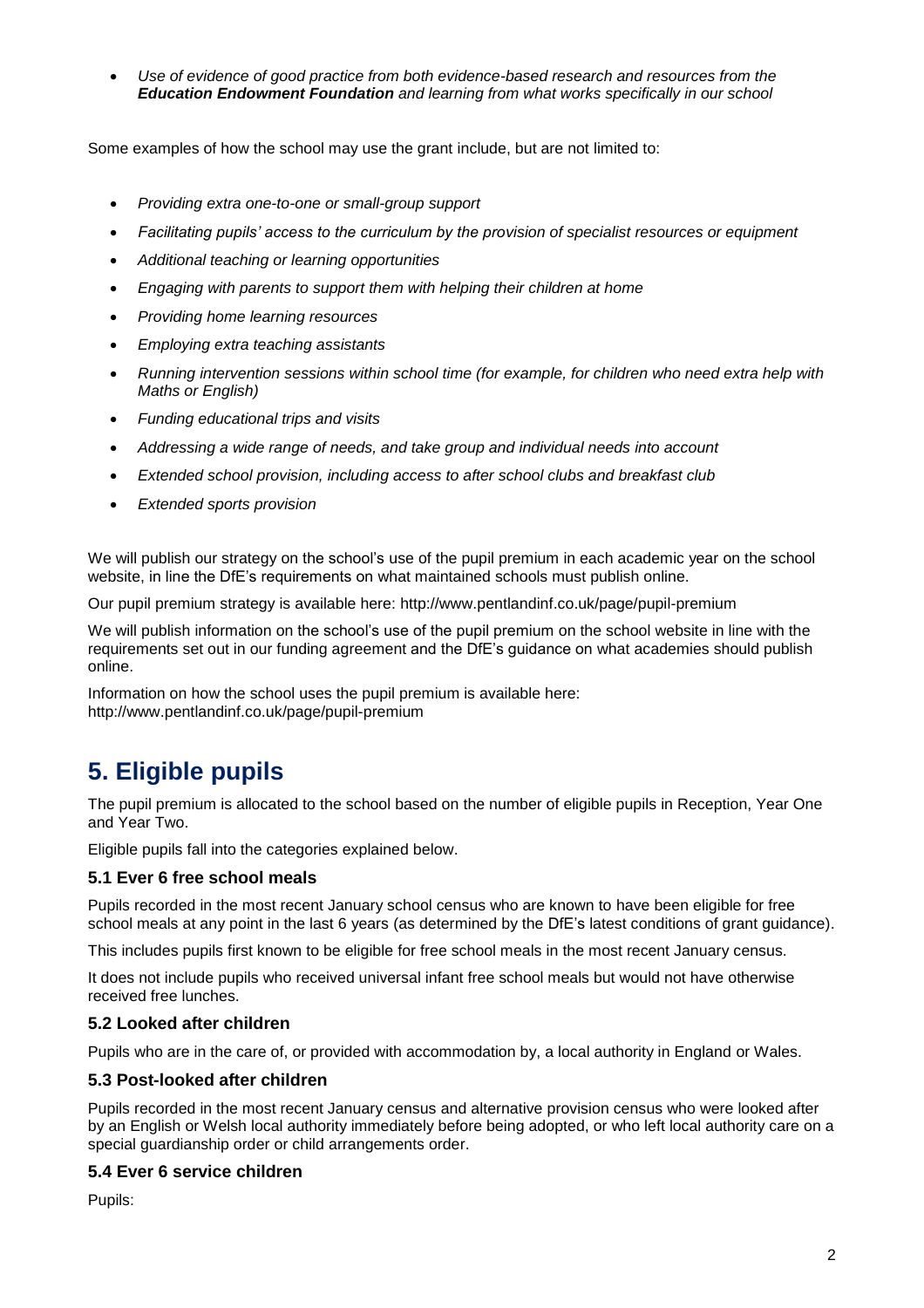*Use of evidence of good practice from both evidence-based research and resources from the [Education Endowment Foundation](https://educationendowmentfoundation.org.uk/) and learning from what works specifically in our school*

Some examples of how the school may use the grant include, but are not limited to:

- *Providing extra one-to-one or small-group support*
- *Facilitating pupils' access to the curriculum by the provision of specialist resources or equipment*
- *Additional teaching or learning opportunities*
- *Engaging with parents to support them with helping their children at home*
- *Providing home learning resources*
- *Employing extra teaching assistants*
- *Running intervention sessions within school time (for example, for children who need extra help with Maths or English)*
- *Funding educational trips and visits*
- *Addressing a wide range of needs, and take group and individual needs into account*
- *Extended school provision, including access to after school clubs and breakfast club*
- *Extended sports provision*

We will publish our strategy on the school's use of the pupil premium in each academic year on the school website, in line the DfE's requirements on what maintained schools must publish online.

Our pupil premium strategy is available here: http://www.pentlandinf.co.uk/page/pupil-premium

We will publish information on the school's use of the pupil premium on the school website in line with the requirements set out in our funding agreement and the DfE's guidance on what academies should publish online.

Information on how the school uses the pupil premium is available here: http://www.pentlandinf.co.uk/page/pupil-premium

# **5. Eligible pupils**

The pupil premium is allocated to the school based on the number of eligible pupils in Reception, Year One and Year Two.

Eligible pupils fall into the categories explained below.

### **5.1 Ever 6 free school meals**

Pupils recorded in the most recent January school census who are known to have been eligible for free school meals at any point in the last 6 years (as determined by the DfE's latest conditions of grant guidance).

This includes pupils first known to be eligible for free school meals in the most recent January census.

It does not include pupils who received universal infant free school meals but would not have otherwise received free lunches.

### **5.2 Looked after children**

Pupils who are in the care of, or provided with accommodation by, a local authority in England or Wales.

### **5.3 Post-looked after children**

Pupils recorded in the most recent January census and alternative provision census who were looked after by an English or Welsh local authority immediately before being adopted, or who left local authority care on a special guardianship order or child arrangements order.

#### **5.4 Ever 6 service children**

Pupils: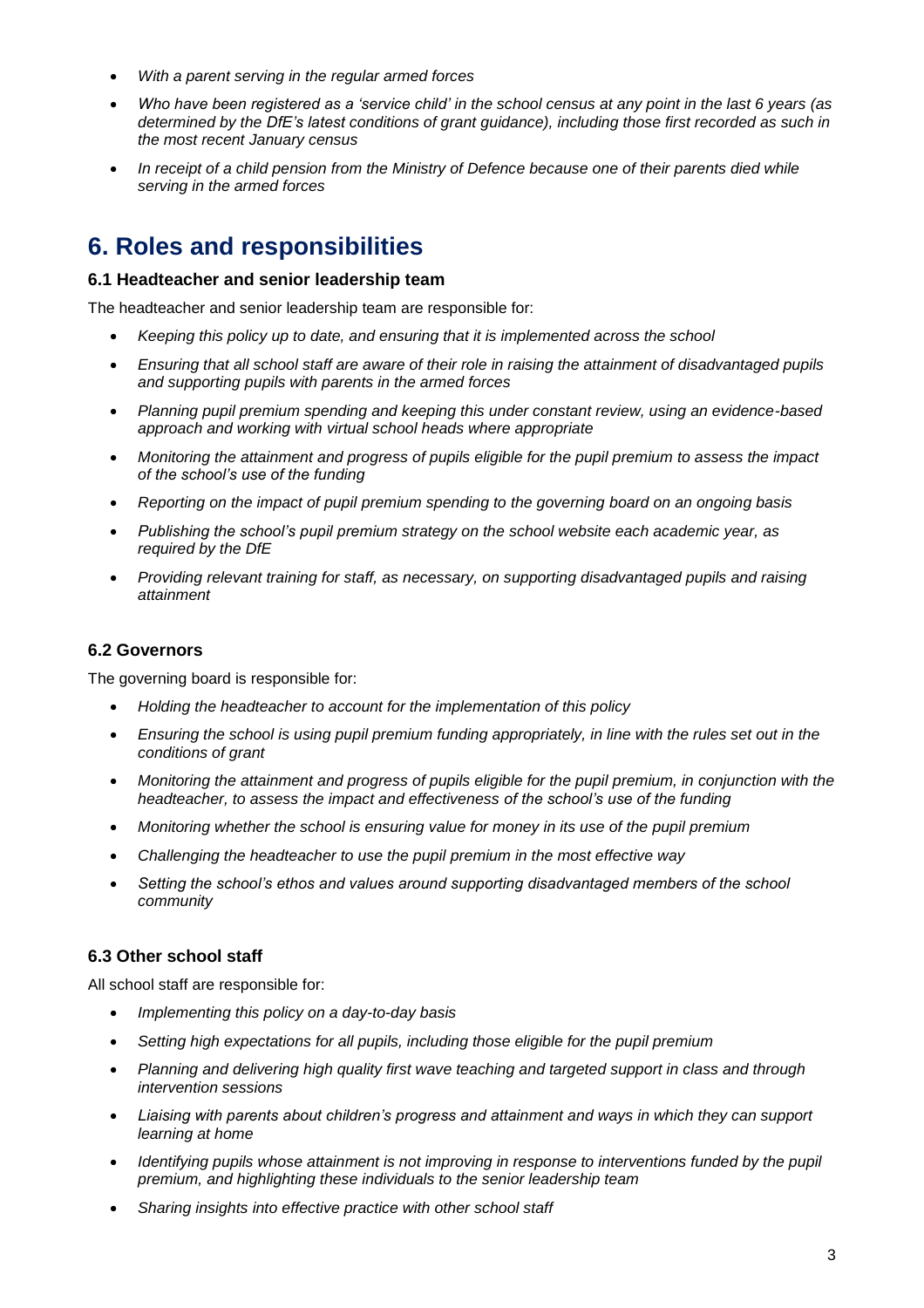- *With a parent serving in the regular armed forces*
- *Who have been registered as a 'service child' in the school census at any point in the last 6 years (as determined by the DfE's latest conditions of grant guidance), including those first recorded as such in the most recent January census*
- *In receipt of a child pension from the Ministry of Defence because one of their parents died while serving in the armed forces*

## **6. Roles and responsibilities**

#### **6.1 Headteacher and senior leadership team**

The headteacher and senior leadership team are responsible for:

- *Keeping this policy up to date, and ensuring that it is implemented across the school*
- *Ensuring that all school staff are aware of their role in raising the attainment of disadvantaged pupils and supporting pupils with parents in the armed forces*
- *Planning pupil premium spending and keeping this under constant review, using an evidence-based approach and working with virtual school heads where appropriate*
- *Monitoring the attainment and progress of pupils eligible for the pupil premium to assess the impact of the school's use of the funding*
- *Reporting on the impact of pupil premium spending to the governing board on an ongoing basis*
- *Publishing the school's pupil premium strategy on the school website each academic year, as required by the DfE*
- *Providing relevant training for staff, as necessary, on supporting disadvantaged pupils and raising attainment*

#### **6.2 Governors**

The governing board is responsible for:

- *Holding the headteacher to account for the implementation of this policy*
- *Ensuring the school is using pupil premium funding appropriately, in line with the rules set out in the conditions of grant*
- *Monitoring the attainment and progress of pupils eligible for the pupil premium, in conjunction with the headteacher, to assess the impact and effectiveness of the school's use of the funding*
- *Monitoring whether the school is ensuring value for money in its use of the pupil premium*
- *Challenging the headteacher to use the pupil premium in the most effective way*
- *Setting the school's ethos and values around supporting disadvantaged members of the school community*

#### **6.3 Other school staff**

All school staff are responsible for:

- *Implementing this policy on a day-to-day basis*
- *Setting high expectations for all pupils, including those eligible for the pupil premium*
- *Planning and delivering high quality first wave teaching and targeted support in class and through intervention sessions*
- *Liaising with parents about children's progress and attainment and ways in which they can support learning at home*
- *Identifying pupils whose attainment is not improving in response to interventions funded by the pupil premium, and highlighting these individuals to the senior leadership team*
- *Sharing insights into effective practice with other school staff*